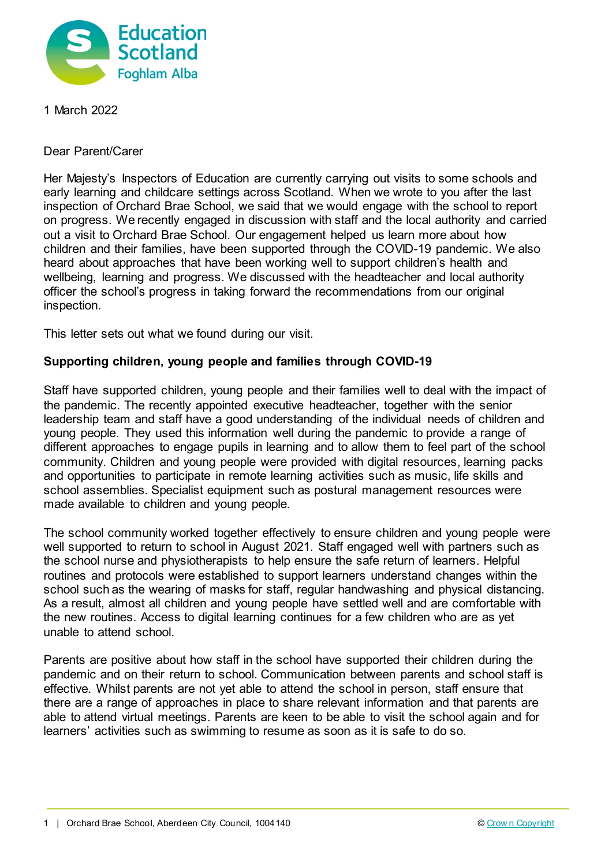

1 March 2022

Dear Parent/Carer

Her Majesty's Inspectors of Education are currently carrying out visits to some schools and early learning and childcare settings across Scotland. When we wrote to you after the last inspection of Orchard Brae School, we said that we would engage with the school to report on progress. We recently engaged in discussion with staff and the local authority and carried out a visit to Orchard Brae School. Our engagement helped us learn more about how children and their families, have been supported through the COVID-19 pandemic. We also heard about approaches that have been working well to support children's health and wellbeing, learning and progress. We discussed with the headteacher and local authority officer the school's progress in taking forward the recommendations from our original inspection.

This letter sets out what we found during our visit.

## **Supporting children, young people and families through COVID-19**

Staff have supported children, young people and their families well to deal with the impact of the pandemic. The recently appointed executive headteacher, together with the senior leadership team and staff have a good understanding of the individual needs of children and young people. They used this information well during the pandemic to provide a range of different approaches to engage pupils in learning and to allow them to feel part of the school community. Children and young people were provided with digital resources, learning packs and opportunities to participate in remote learning activities such as music, life skills and school assemblies. Specialist equipment such as postural management resources were made available to children and young people.

The school community worked together effectively to ensure children and young people were well supported to return to school in August 2021. Staff engaged well with partners such as the school nurse and physiotherapists to help ensure the safe return of learners. Helpful routines and protocols were established to support learners understand changes within the school such as the wearing of masks for staff, regular handwashing and physical distancing. As a result, almost all children and young people have settled well and are comfortable with the new routines. Access to digital learning continues for a few children who are as yet unable to attend school.

Parents are positive about how staff in the school have supported their children during the pandemic and on their return to school. Communication between parents and school staff is effective. Whilst parents are not yet able to attend the school in person, staff ensure that there are a range of approaches in place to share relevant information and that parents are able to attend virtual meetings. Parents are keen to be able to visit the school again and for learners' activities such as swimming to resume as soon as it is safe to do so.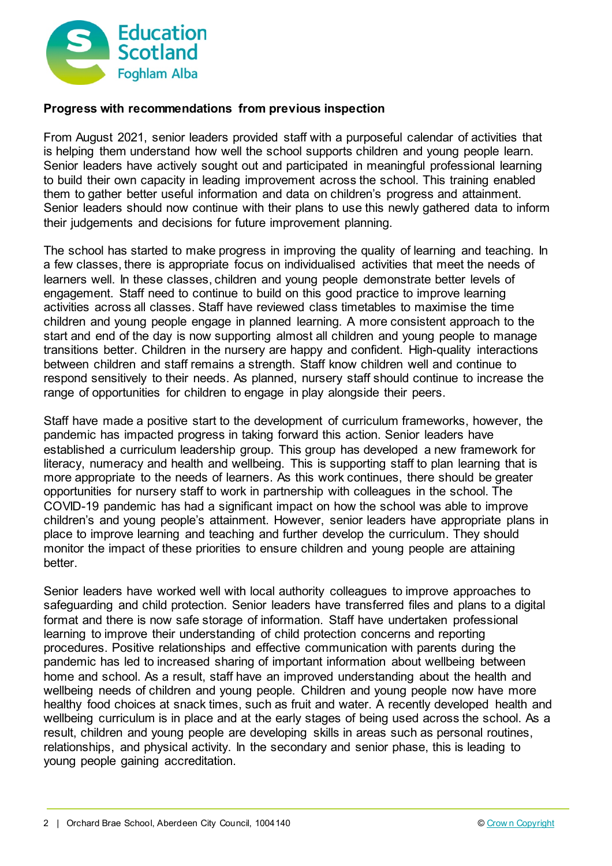

## **Progress with recommendations from previous inspection**

From August 2021, senior leaders provided staff with a purposeful calendar of activities that is helping them understand how well the school supports children and young people learn. Senior leaders have actively sought out and participated in meaningful professional learning to build their own capacity in leading improvement across the school. This training enabled them to gather better useful information and data on children's progress and attainment. Senior leaders should now continue with their plans to use this newly gathered data to inform their judgements and decisions for future improvement planning.

The school has started to make progress in improving the quality of learning and teaching. In a few classes, there is appropriate focus on individualised activities that meet the needs of learners well. In these classes, children and young people demonstrate better levels of engagement. Staff need to continue to build on this good practice to improve learning activities across all classes. Staff have reviewed class timetables to maximise the time children and young people engage in planned learning. A more consistent approach to the start and end of the day is now supporting almost all children and young people to manage transitions better. Children in the nursery are happy and confident. High-quality interactions between children and staff remains a strength. Staff know children well and continue to respond sensitively to their needs. As planned, nursery staff should continue to increase the range of opportunities for children to engage in play alongside their peers.

Staff have made a positive start to the development of curriculum frameworks, however, the pandemic has impacted progress in taking forward this action. Senior leaders have established a curriculum leadership group. This group has developed a new framework for literacy, numeracy and health and wellbeing. This is supporting staff to plan learning that is more appropriate to the needs of learners. As this work continues, there should be greater opportunities for nursery staff to work in partnership with colleagues in the school. The COVID-19 pandemic has had a significant impact on how the school was able to improve children's and young people's attainment. However, senior leaders have appropriate plans in place to improve learning and teaching and further develop the curriculum. They should monitor the impact of these priorities to ensure children and young people are attaining better.

Senior leaders have worked well with local authority colleagues to improve approaches to safeguarding and child protection. Senior leaders have transferred files and plans to a digital format and there is now safe storage of information. Staff have undertaken professional learning to improve their understanding of child protection concerns and reporting procedures. Positive relationships and effective communication with parents during the pandemic has led to increased sharing of important information about wellbeing between home and school. As a result, staff have an improved understanding about the health and wellbeing needs of children and young people. Children and young people now have more healthy food choices at snack times, such as fruit and water. A recently developed health and wellbeing curriculum is in place and at the early stages of being used across the school. As a result, children and young people are developing skills in areas such as personal routines, relationships, and physical activity. In the secondary and senior phase, this is leading to young people gaining accreditation.